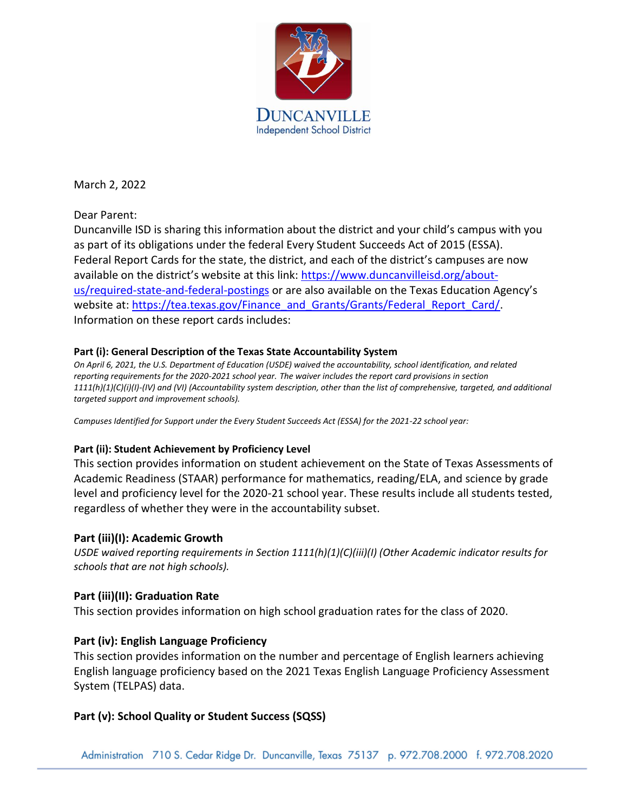

March 2, 2022

Dear Parent:

Duncanville ISD is sharing this information about the district and your child's campus with you as part of its obligations under the federal Every Student Succeeds Act of 2015 (ESSA). Federal Report Cards for the state, the district, and each of the district's campuses are now available on the district's website at this link: [https://www.duncanvilleisd.org/about](https://www.duncanvilleisd.org/about-us/required-state-and-federal-postings)[us/required-state-and-federal-postings](https://www.duncanvilleisd.org/about-us/required-state-and-federal-postings) or are also available on the Texas Education Agency's website at[: https://tea.texas.gov/Finance\\_and\\_Grants/Grants/Federal\\_Report\\_Card/.](https://tea.texas.gov/Finance_and_Grants/Grants/Federal_Report_Card/) Information on these report cards includes:

### **Part (i): General Description of the Texas State Accountability System**

*On April 6, 2021, the U.S. Department of Education (USDE) waived the accountability, school identification, and related reporting requirements for the 2020-2021 school year. The waiver includes the report card provisions in section 1111(h)(1)(C)(i)(I)-(IV) and (VI) (Accountability system description, other than the list of comprehensive, targeted, and additional targeted support and improvement schools).*

*Campuses Identified for Support under the Every Student Succeeds Act (ESSA) for the 2021-22 school year:*

### **Part (ii): Student Achievement by Proficiency Level**

This section provides information on student achievement on the State of Texas Assessments of Academic Readiness (STAAR) performance for mathematics, reading/ELA, and science by grade level and proficiency level for the 2020-21 school year. These results include all students tested, regardless of whether they were in the accountability subset.

### **Part (iii)(I): Academic Growth**

*USDE waived reporting requirements in Section 1111(h)(1)(C)(iii)(I) (Other Academic indicator results for schools that are not high schools).*

### **Part (iii)(II): Graduation Rate**

This section provides information on high school graduation rates for the class of 2020.

## **Part (iv): English Language Proficiency**

This section provides information on the number and percentage of English learners achieving English language proficiency based on the 2021 Texas English Language Proficiency Assessment System (TELPAS) data.

## **Part (v): School Quality or Student Success (SQSS)**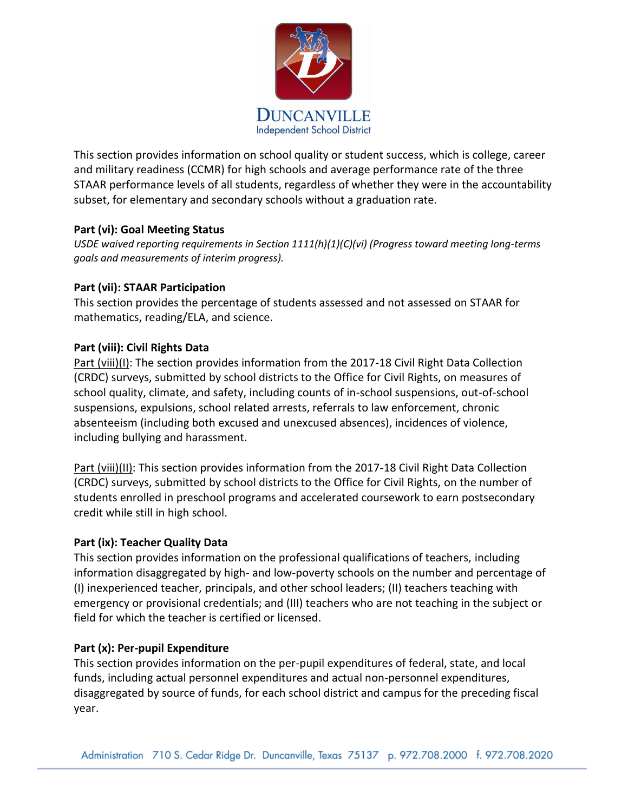

This section provides information on school quality or student success, which is college, career and military readiness (CCMR) for high schools and average performance rate of the three STAAR performance levels of all students, regardless of whether they were in the accountability subset, for elementary and secondary schools without a graduation rate.

### **Part (vi): Goal Meeting Status**

*USDE waived reporting requirements in Section 1111(h)(1)(C)(vi) (Progress toward meeting long-terms goals and measurements of interim progress).*

### **Part (vii): STAAR Participation**

This section provides the percentage of students assessed and not assessed on STAAR for mathematics, reading/ELA, and science.

### **Part (viii): Civil Rights Data**

Part (viii)(I): The section provides information from the 2017-18 Civil Right Data Collection (CRDC) surveys, submitted by school districts to the Office for Civil Rights, on measures of school quality, climate, and safety, including counts of in-school suspensions, out-of-school suspensions, expulsions, school related arrests, referrals to law enforcement, chronic absenteeism (including both excused and unexcused absences), incidences of violence, including bullying and harassment.

Part (viii)(II): This section provides information from the 2017-18 Civil Right Data Collection (CRDC) surveys, submitted by school districts to the Office for Civil Rights, on the number of students enrolled in preschool programs and accelerated coursework to earn postsecondary credit while still in high school.

### **Part (ix): Teacher Quality Data**

This section provides information on the professional qualifications of teachers, including information disaggregated by high- and low-poverty schools on the number and percentage of (I) inexperienced teacher, principals, and other school leaders; (II) teachers teaching with emergency or provisional credentials; and (III) teachers who are not teaching in the subject or field for which the teacher is certified or licensed.

### **Part (x): Per-pupil Expenditure**

This section provides information on the per-pupil expenditures of federal, state, and local funds, including actual personnel expenditures and actual non-personnel expenditures, disaggregated by source of funds, for each school district and campus for the preceding fiscal year.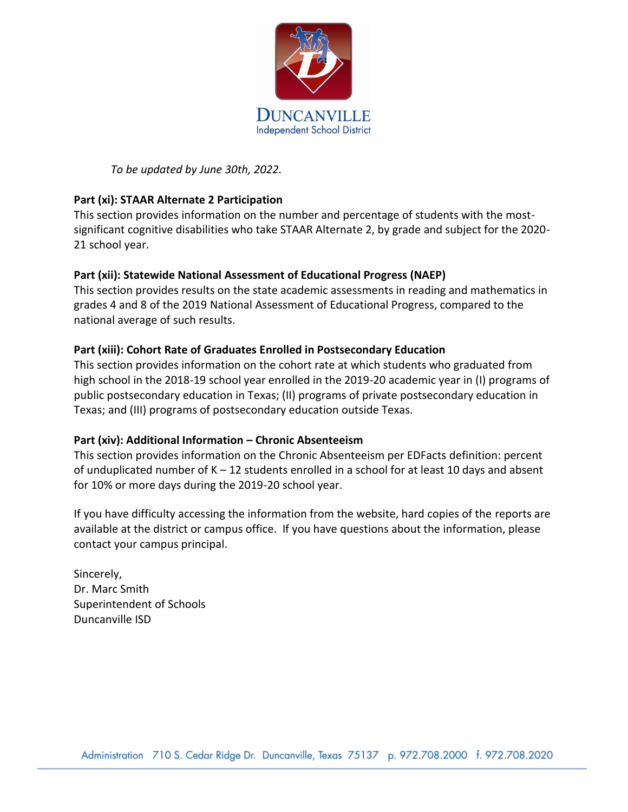

*To be updated by June 30th, 2022.*

# **Part (xi): STAAR Alternate 2 Participation**

This section provides information on the number and percentage of students with the mostsignificant cognitive disabilities who take STAAR Alternate 2, by grade and subject for the 2020- 21 school year.

## **Part (xii): Statewide National Assessment of Educational Progress (NAEP)**

This section provides results on the state academic assessments in reading and mathematics in grades 4 and 8 of the 2019 National Assessment of Educational Progress, compared to the national average of such results.

# **Part (xiii): Cohort Rate of Graduates Enrolled in Postsecondary Education**

This section provides information on the cohort rate at which students who graduated from high school in the 2018-19 school year enrolled in the 2019-20 academic year in (I) programs of public postsecondary education in Texas; (II) programs of private postsecondary education in Texas; and (III) programs of postsecondary education outside Texas.

## **Part (xiv): Additional Information – Chronic Absenteeism**

This section provides information on the Chronic Absenteeism per EDFacts definition: percent of unduplicated number of  $K - 12$  students enrolled in a school for at least 10 days and absent for 10% or more days during the 2019-20 school year.

If you have difficulty accessing the information from the website, hard copies of the reports are available at the district or campus office. If you have questions about the information, please contact your campus principal.

Sincerely, Dr. Marc Smith Superintendent of Schools Duncanville ISD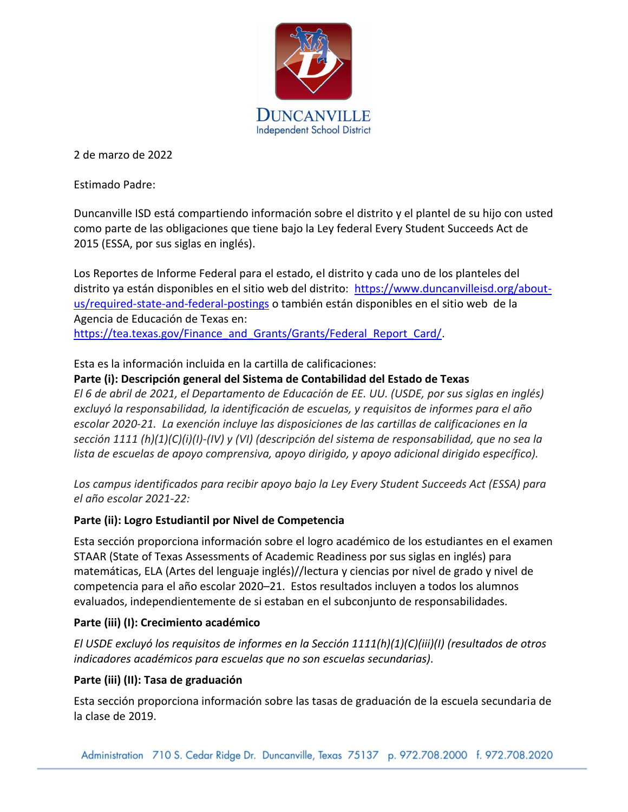

2 de marzo de 2022

Estimado Padre:

Duncanville ISD está compartiendo información sobre el distrito y el plantel de su hijo con usted como parte de las obligaciones que tiene bajo la Ley federal Every Student Succeeds Act de 2015 (ESSA, por sus siglas en inglés).

Los Reportes de Informe Federal para el estado, el distrito y cada uno de los planteles del distrito ya están disponibles en el sitio web del distrito: [https://www.duncanvilleisd.org/about](https://www.duncanvilleisd.org/about-us/required-state-and-federal-postings)[us/required-state-and-federal-postings](https://www.duncanvilleisd.org/about-us/required-state-and-federal-postings) o también están disponibles en el sitio web de la Agencia de Educación de Texas en[:](https://tea.texas.gov/Finance_and_Grants/Grants/Federal_Report_Card/) [https://tea.texas.gov/Finance\\_and\\_Grants/Grants/Federal\\_Report\\_Card/.](https://tea.texas.gov/Finance_and_Grants/Grants/Federal_Report_Card/)

Esta es la información incluida en la cartilla de calificaciones:

## **Parte (i): Descripción general del Sistema de Contabilidad del Estado de Texas**

*El 6 de abril de 2021, el Departamento de Educación de EE. UU. (USDE, por sus siglas en inglés) excluyó la responsabilidad, la identificación de escuelas, y requisitos de informes para el año escolar 2020-21. La exención incluye las disposiciones de las cartillas de calificaciones en la sección 1111 (h)(1)(C)(i)(I)-(IV) y (VI) (descripción del sistema de responsabilidad, que no sea la lista de escuelas de apoyo comprensiva, apoyo dirigido, y apoyo adicional dirigido específico).*

*Los campus identificados para recibir apoyo bajo la Ley Every Student Succeeds Act (ESSA) para el año escolar 2021-22:*

# **Parte (ii): Logro Estudiantil por Nivel de Competencia**

Esta sección proporciona información sobre el logro académico de los estudiantes en el examen STAAR (State of Texas Assessments of Academic Readiness por sus siglas en inglés) para matemáticas, ELA (Artes del lenguaje inglés)//lectura y ciencias por nivel de grado y nivel de competencia para el año escolar 2020–21. Estos resultados incluyen a todos los alumnos evaluados, independientemente de si estaban en el subconjunto de responsabilidades.

## **Parte (iii) (I): Crecimiento académico**

*El USDE excluyó los requisitos de informes en la Sección 1111(h)(1)(C)(iii)(I) (resultados de otros indicadores académicos para escuelas que no son escuelas secundarias).*

# **Parte (iii) (II): Tasa de graduación**

Esta sección proporciona información sobre las tasas de graduación de la escuela secundaria de la clase de 2019.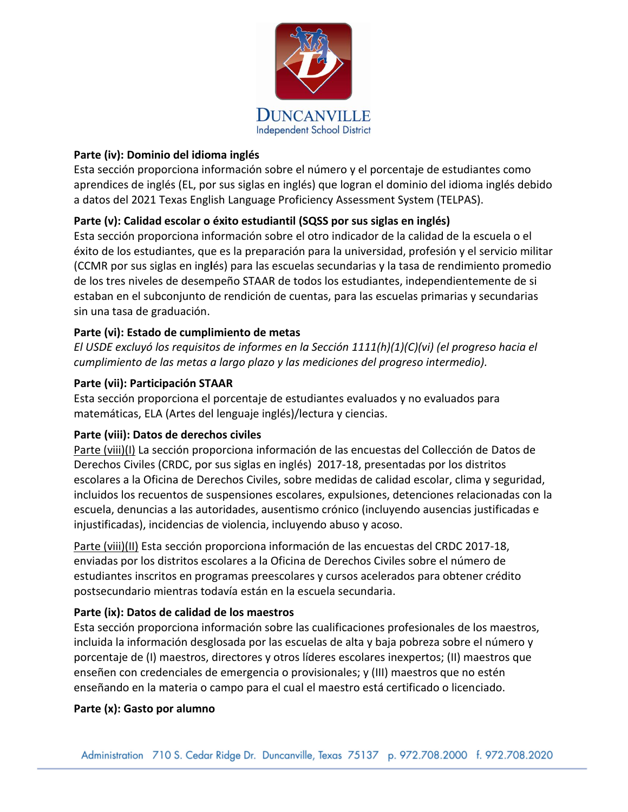

## **Parte (iv): Dominio del idioma inglés**

Esta sección proporciona información sobre el número y el porcentaje de estudiantes como aprendices de inglés (EL, por sus siglas en inglés) que logran el dominio del idioma inglés debido a datos del 2021 Texas English Language Proficiency Assessment System (TELPAS).

# **Parte (v): Calidad escolar o éxito estudiantil (SQSS por sus siglas en inglés)**

Esta sección proporciona información sobre el otro indicador de la calidad de la escuela o el éxito de los estudiantes, que es la preparación para la universidad, profesión y el servicio militar (CCMR por sus siglas en ing**l**és) para las escuelas secundarias y la tasa de rendimiento promedio de los tres niveles de desempeño STAAR de todos los estudiantes, independientemente de si estaban en el subconjunto de rendición de cuentas, para las escuelas primarias y secundarias sin una tasa de graduación.

# **Parte (vi): Estado de cumplimiento de metas**

*El USDE excluyó los requisitos de informes en la Sección 1111(h)(1)(C)(vi) (el progreso hacia el cumplimiento de las metas a largo plazo y las mediciones del progreso intermedio).*

## **Parte (vii): Participación STAAR**

Esta sección proporciona el porcentaje de estudiantes evaluados y no evaluados para matemáticas, ELA (Artes del lenguaje inglés)/lectura y ciencias.

## **Parte (viii): Datos de derechos civiles**

Parte (viii)(I) La sección proporciona información de las encuestas del Collección de Datos de Derechos Civiles (CRDC, por sus siglas en inglés) 2017-18, presentadas por los distritos escolares a la Oficina de Derechos Civiles, sobre medidas de calidad escolar, clima y seguridad, incluidos los recuentos de suspensiones escolares, expulsiones, detenciones relacionadas con la escuela, denuncias a las autoridades, ausentismo crónico (incluyendo ausencias justificadas e injustificadas), incidencias de violencia, incluyendo abuso y acoso.

Parte (viii)(II) Esta sección proporciona información de las encuestas del CRDC 2017-18, enviadas por los distritos escolares a la Oficina de Derechos Civiles sobre el número de estudiantes inscritos en programas preescolares y cursos acelerados para obtener crédito postsecundario mientras todavía están en la escuela secundaria.

## **Parte (ix): Datos de calidad de los maestros**

Esta sección proporciona información sobre las cualificaciones profesionales de los maestros, incluida la información desglosada por las escuelas de alta y baja pobreza sobre el número y porcentaje de (I) maestros, directores y otros líderes escolares inexpertos; (II) maestros que enseñen con credenciales de emergencia o provisionales; y (III) maestros que no estén enseñando en la materia o campo para el cual el maestro está certificado o licenciado.

## **Parte (x): Gasto por alumno**